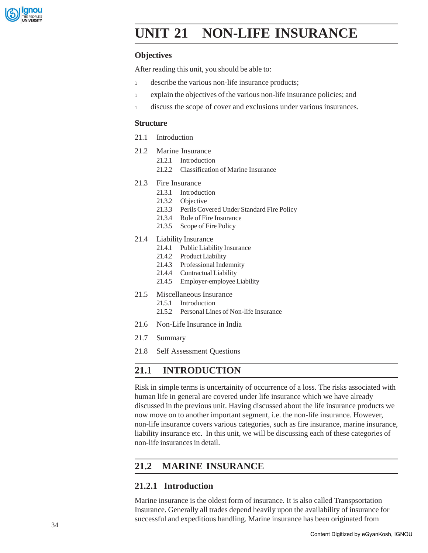

# **IUNIT 21 NON-LIFE INSURANCE**

### **Objectives**

After reading this unit, you should be able to:

- 1 describe the various non-life insurance products;
- <sup>l</sup> explain the objectives of the various non-life insurance policies; and
- <sup>l</sup> discuss the scope of cover and exclusions under various insurances.

#### **Structure**

- 21.1 Introduction
- 21.2 Marine Insurance
	- 21.2.1 Introduction
	- 21.2.2 Classification of Marine Insurance
- 21.3 Fire Insurance
	- 21.3.1 Introduction
	- 21.3.2 Objective
	- 21.3.3 Perils Covered Under Standard Fire Policy
	- 21.3.4 Role of Fire Insurance
	- 21.3.5 Scope of Fire Policy
- 21.4 Liability Insurance
	- 21.4.1 Public Liability Insurance
	- 21.4.2 Product Liability
	- 21.4.3 Professional Indemnity
	- 21.4.4 Contractual Liability
	- 21.4.5 Employer-employee Liability
- 21.5 Miscellaneous Insurance
	- 21.5.1 Introduction
	- 21.5.2 Personal Lines of Non-life Insurance
- 21.6 Non-Life Insurance in India
- 21.7 Summary
- 21.8 Self Assessment Questions

## **21.1 INTRODUCTION**

Risk in simple terms is uncertainity of occurrence of a loss. The risks associated with human life in general are covered under life insurance which we have already discussed in the previous unit. Having discussed about the life insurance products we now move on to another important segment, i.e. the non-life insurance. However, non-life insurance covers various categories, such as fire insurance, marine insurance, liability insurance etc. In this unit, we will be discussing each of these categories of non-life insurances in detail.

## **21.2 MARINE INSURANCE**

### **21.2.1 Introduction**

Marine insurance is the oldest form of insurance. It is also called Transpsortation Insurance. Generally all trades depend heavily upon the availability of insurance for successful and expeditious handling. Marine insurance has been originated from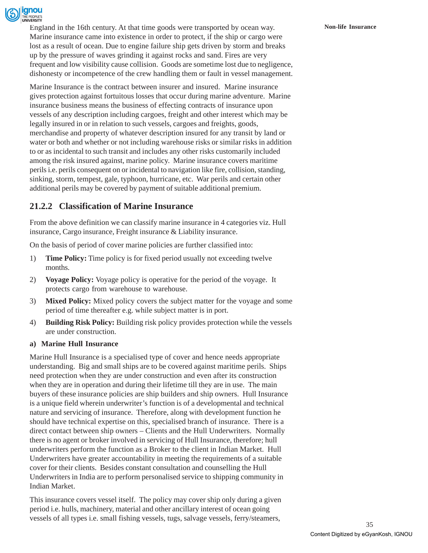

England in the 16th century. At that time goods were transported by ocean way. **Non-life Insurance** Marine insurance came into existence in order to protect, if the ship or cargo were lost as a result of ocean. Due to engine failure ship gets driven by storm and breaks up by the pressure of waves grinding it against rocks and sand. Fires are very frequent and low visibility cause collision. Goods are sometime lost due to negligence, dishonesty or incompetence of the crew handling them or fault in vessel management.

Marine Insurance is the contract between insurer and insured. Marine insurance gives protection against fortuitous losses that occur during marine adventure. Marine insurance business means the business of effecting contracts of insurance upon vessels of any description including cargoes, freight and other interest which may be legally insured in or in relation to such vessels, cargoes and freights, goods, merchandise and property of whatever description insured for any transit by land or water or both and whether or not including warehouse risks or similar risks in addition to or as incidental to such transit and includes any other risks customarily included among the risk insured against, marine policy. Marine insurance covers maritime perils i.e. perils consequent on or incidental to navigation like fire, collision, standing, sinking, storm, tempest, gale, typhoon, hurricane, etc. War perils and certain other additional perils may be covered by payment of suitable additional premium.

## **21.2.2 Classification of Marine Insurance**

From the above definition we can classify marine insurance in 4 categories viz. Hull insurance, Cargo insurance, Freight insurance & Liability insurance.

On the basis of period of cover marine policies are further classified into:

- 1) **Time Policy:** Time policy is for fixed period usually not exceeding twelve months.
- 2) **Voyage Policy:** Voyage policy is operative for the period of the voyage. It protects cargo from warehouse to warehouse.
- 3) **Mixed Policy:** Mixed policy covers the subject matter for the voyage and some period of time thereafter e.g. while subject matter is in port.
- 4) **Building Risk Policy:** Building risk policy provides protection while the vessels are under construction.

#### **a) Marine Hull Insurance**

Marine Hull Insurance is a specialised type of cover and hence needs appropriate understanding. Big and small ships are to be covered against maritime perils. Ships need protection when they are under construction and even after its construction when they are in operation and during their lifetime till they are in use. The main buyers of these insurance policies are ship builders and ship owners. Hull Insurance is a unique field wherein underwriter's function is of a developmental and technical nature and servicing of insurance. Therefore, along with development function he should have technical expertise on this, specialised branch of insurance. There is a direct contact between ship owners – Clients and the Hull Underwriters. Normally there is no agent or broker involved in servicing of Hull Insurance, therefore; hull underwriters perform the function as a Broker to the client in Indian Market. Hull Underwriters have greater accountability in meeting the requirements of a suitable cover for their clients. Besides constant consultation and counselling the Hull Underwriters in India are to perform personalised service to shipping community in Indian Market.

This insurance covers vessel itself. The policy may cover ship only during a given period i.e. hulls, machinery, material and other ancillary interest of ocean going vessels of all types i.e. small fishing vessels, tugs, salvage vessels, ferry/steamers,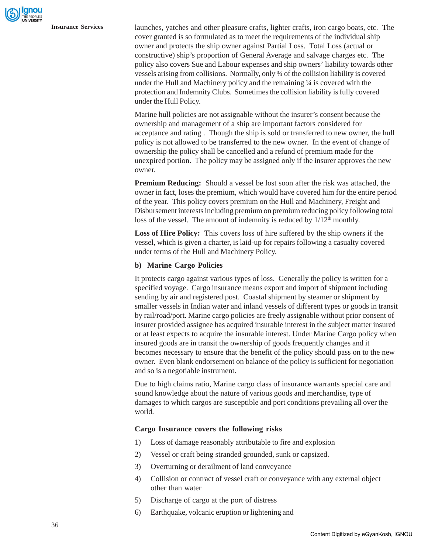**Insurance Services** launches, yatches and other pleasure crafts, lighter crafts, iron cargo boats, etc. The cover granted is so formulated as to meet the requirements of the individual ship owner and protects the ship owner against Partial Loss. Total Loss (actual or constructive) ship's proportion of General Average and salvage charges etc. The policy also covers Sue and Labour expenses and ship owners' liability towards other vessels arising from collisions. Normally, only ¾ of the collision liability is covered under the Hull and Machinery policy and the remaining ¼ is covered with the protection and Indemnity Clubs. Sometimes the collision liability is fully covered under the Hull Policy.

> Marine hull policies are not assignable without the insurer's consent because the ownership and management of a ship are important factors considered for acceptance and rating . Though the ship is sold or transferred to new owner, the hull policy is not allowed to be transferred to the new owner. In the event of change of ownership the policy shall be cancelled and a refund of premium made for the unexpired portion. The policy may be assigned only if the insurer approves the new owner.

> **Premium Reducing:** Should a vessel be lost soon after the risk was attached, the owner in fact, loses the premium, which would have covered him for the entire period of the year. This policy covers premium on the Hull and Machinery, Freight and Disbursement interests including premium on premium reducing policy following total loss of the vessel. The amount of indemnity is reduced by  $1/12<sup>th</sup>$  monthly.

**Loss of Hire Policy:** This covers loss of hire suffered by the ship owners if the vessel, which is given a charter, is laid-up for repairs following a casualty covered under terms of the Hull and Machinery Policy.

#### **b) Marine Cargo Policies**

It protects cargo against various types of loss. Generally the policy is written for a specified voyage. Cargo insurance means export and import of shipment including sending by air and registered post. Coastal shipment by steamer or shipment by smaller vessels in Indian water and inland vessels of different types or goods in transit by rail/road/port. Marine cargo policies are freely assignable without prior consent of insurer provided assignee has acquired insurable interest in the subject matter insured or at least expects to acquire the insurable interest. Under Marine Cargo policy when insured goods are in transit the ownership of goods frequently changes and it becomes necessary to ensure that the benefit of the policy should pass on to the new owner. Even blank endorsement on balance of the policy is sufficient for negotiation and so is a negotiable instrument.

Due to high claims ratio, Marine cargo class of insurance warrants special care and sound knowledge about the nature of various goods and merchandise, type of damages to which cargos are susceptible and port conditions prevailing all over the world.

#### **Cargo Insurance covers the following risks**

- 1) Loss of damage reasonably attributable to fire and explosion
- 2) Vessel or craft being stranded grounded, sunk or capsized.
- 3) Overturning or derailment of land conveyance
- 4) Collision or contract of vessel craft or conveyance with any external object other than water
- 5) Discharge of cargo at the port of distress
- 6) Earthquake, volcanic eruption or lightening and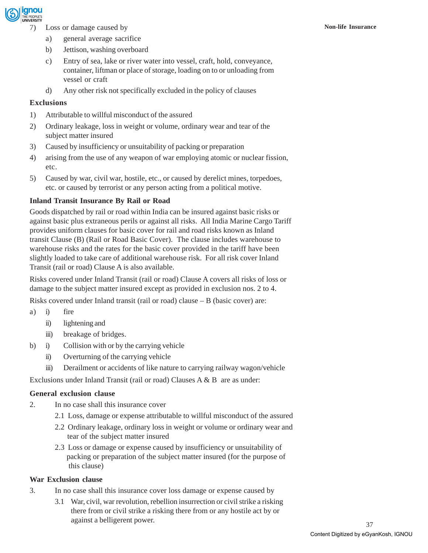

- 7) Loss or damage caused by **Non-life Insurance**
	- a) general average sacrifice
	- b) Jettison, washing overboard
	- c) Entry of sea, lake or river water into vessel, craft, hold, conveyance, container, liftman or place of storage, loading on to or unloading from vessel or craft
	- d) Any other risk not specifically excluded in the policy of clauses

#### **Exclusions**

- 1) Attributable to willful misconduct of the assured
- 2) Ordinary leakage, loss in weight or volume, ordinary wear and tear of the subject matter insured
- 3) Caused by insufficiency or unsuitability of packing or preparation
- 4) arising from the use of any weapon of war employing atomic or nuclear fission, etc.
- 5) Caused by war, civil war, hostile, etc., or caused by derelict mines, torpedoes, etc. or caused by terrorist or any person acting from a political motive.

#### **Inland Transit Insurance By Rail or Road**

Goods dispatched by rail or road within India can be insured against basic risks or against basic plus extraneous perils or against all risks. All India Marine Cargo Tariff provides uniform clauses for basic cover for rail and road risks known as Inland transit Clause (B) (Rail or Road Basic Cover). The clause includes warehouse to warehouse risks and the rates for the basic cover provided in the tariff have been slightly loaded to take care of additional warehouse risk. For all risk cover Inland Transit (rail or road) Clause A is also available.

Risks covered under Inland Transit (rail or road) Clause A covers all risks of loss or damage to the subject matter insured except as provided in exclusion nos. 2 to 4.

Risks covered under Inland transit (rail or road) clause – B (basic cover) are:

- a) i) fire
	- ii) lightening and
	- iii) breakage of bridges.
- b) i) Collision with or by the carrying vehicle
	- ii) Overturning of the carrying vehicle
	- iii) Derailment or accidents of like nature to carrying railway wagon/vehicle

Exclusions under Inland Transit (rail or road) Clauses A & B are as under:

#### **General exclusion clause**

- 2. In no case shall this insurance cover
	- 2.1 Loss, damage or expense attributable to willful misconduct of the assured
	- 2.2 Ordinary leakage, ordinary loss in weight or volume or ordinary wear and tear of the subject matter insured
	- 2.3 Loss or damage or expense caused by insufficiency or unsuitability of packing or preparation of the subject matter insured (for the purpose of this clause)

#### **War Exclusion clause**

- 3. In no case shall this insurance cover loss damage or expense caused by
	- 3.1 War, civil, war revolution, rebellion insurrection or civil strike a risking there from or civil strike a risking there from or any hostile act by or against a belligerent power.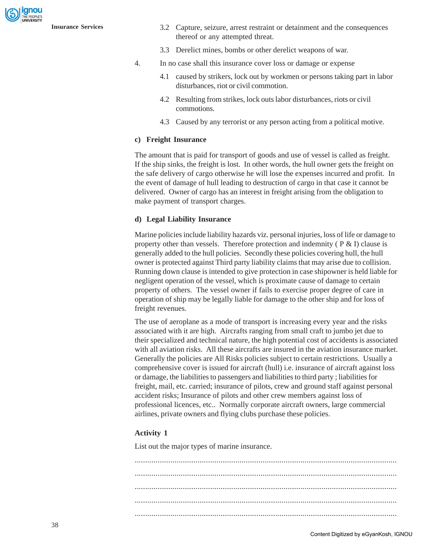

- **Insurance Services** 3.2 Capture, seizure, arrest restraint or detainment and the consequences thereof or any attempted threat.
	- 3.3 Derelict mines, bombs or other derelict weapons of war.
	- 4. In no case shall this insurance cover loss or damage or expense
		- 4.1 caused by strikers, lock out by workmen or persons taking part in labor disturbances, riot or civil commotion.
		- 4.2 Resulting from strikes, lock outs labor disturbances, riots or civil commotions.
		- 4.3 Caused by any terrorist or any person acting from a political motive.

#### **c) Freight Insurance**

The amount that is paid for transport of goods and use of vessel is called as freight. If the ship sinks, the freight is lost. In other words, the hull owner gets the freight on the safe delivery of cargo otherwise he will lose the expenses incurred and profit. In the event of damage of hull leading to destruction of cargo in that case it cannot be delivered. Owner of cargo has an interest in freight arising from the obligation to make payment of transport charges.

#### **d) Legal Liability Insurance**

Marine policies include liability hazards viz. personal injuries, loss of life or damage to property other than vessels. Therefore protection and indemnity ( $P \& I$ ) clause is generally added to the hull policies. Secondly these policies covering hull, the hull owner is protected against Third party liability claims that may arise due to collision. Running down clause is intended to give protection in case shipowner is held liable for negligent operation of the vessel, which is proximate cause of damage to certain property of others. The vessel owner if fails to exercise proper degree of care in operation of ship may be legally liable for damage to the other ship and for loss of freight revenues.

The use of aeroplane as a mode of transport is increasing every year and the risks associated with it are high. Aircrafts ranging from small craft to jumbo jet due to their specialized and technical nature, the high potential cost of accidents is associated with all aviation risks. All these aircrafts are insured in the aviation insurance market. Generally the policies are All Risks policies subject to certain restrictions. Usually a comprehensive cover is issued for aircraft (hull) i.e. insurance of aircraft against loss or damage, the liabilities to passengers and liabilities to third party ; liabilities for freight, mail, etc. carried; insurance of pilots, crew and ground staff against personal accident risks; Insurance of pilots and other crew members against loss of professional licences, etc.. Normally corporate aircraft owners, large commercial airlines, private owners and flying clubs purchase these policies.

#### **Activity 1**

List out the major types of marine insurance.

............................................................................................................................. ............................................................................................................................. ............................................................................................................................. ............................................................................................................................. .............................................................................................................................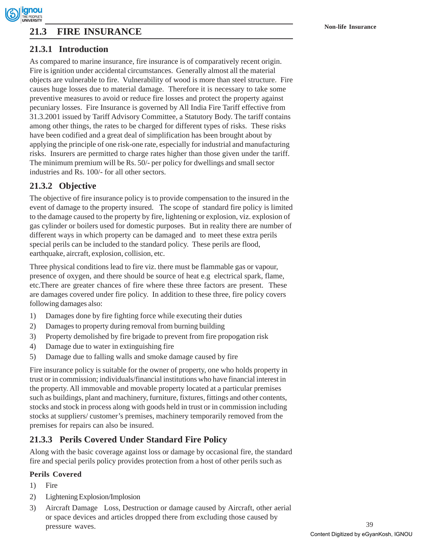# **Non-life Insurance 21.3 FIRE INSURANCE**

## **21.3.1 Introduction**

As compared to marine insurance, fire insurance is of comparatively recent origin. Fire is ignition under accidental circumstances. Generally almost all the material objects are vulnerable to fire. Vulnerability of wood is more than steel structure. Fire causes huge losses due to material damage. Therefore it is necessary to take some preventive measures to avoid or reduce fire losses and protect the property against pecuniary losses. Fire Insurance is governed by All India Fire Tariff effective from 31.3.2001 issued by Tariff Advisory Committee, a Statutory Body. The tariff contains among other things, the rates to be charged for different types of risks. These risks have been codified and a great deal of simplification has been brought about by applying the principle of one risk-one rate, especially for industrial and manufacturing risks. Insurers are permitted to charge rates higher than those given under the tariff. The minimum premium will be Rs. 50/- per policy for dwellings and small sector industries and Rs. 100/- for all other sectors.

## **21.3.2 Objective**

The objective of fire insurance policy is to provide compensation to the insured in the event of damage to the property insured. The scope of standard fire policy is limited to the damage caused to the property by fire, lightening or explosion, viz. explosion of gas cylinder or boilers used for domestic purposes. But in reality there are number of different ways in which property can be damaged and to meet these extra perils special perils can be included to the standard policy. These perils are flood, earthquake, aircraft, explosion, collision, etc.

Three physical conditions lead to fire viz. there must be flammable gas or vapour, presence of oxygen, and there should be source of heat e.g electrical spark, flame, etc.There are greater chances of fire where these three factors are present. These are damages covered under fire policy. In addition to these three, fire policy covers following damages also:

- 1) Damages done by fire fighting force while executing their duties
- 2) Damages to property during removal from burning building
- 3) Property demolished by fire brigade to prevent from fire propogation risk
- 4) Damage due to water in extinguishing fire
- 5) Damage due to falling walls and smoke damage caused by fire

Fire insurance policy is suitable for the owner of property, one who holds property in trust or in commission; individuals/financial institutions who have financial interest in the property. All immovable and movable property located at a particular premises such as buildings, plant and machinery, furniture, fixtures, fittings and other contents, stocks and stock in process along with goods held in trust or in commission including stocks at suppliers/ customer's premises, machinery temporarily removed from the premises for repairs can also be insured.

## **21.3.3 Perils Covered Under Standard Fire Policy**

Along with the basic coverage against loss or damage by occasional fire, the standard fire and special perils policy provides protection from a host of other perils such as

## **Perils Covered**

- 1) Fire
- 2) Lightening Explosion/Implosion
- 3) Aircraft Damage Loss, Destruction or damage caused by Aircraft, other aerial or space devices and articles dropped there from excluding those caused by pressure waves.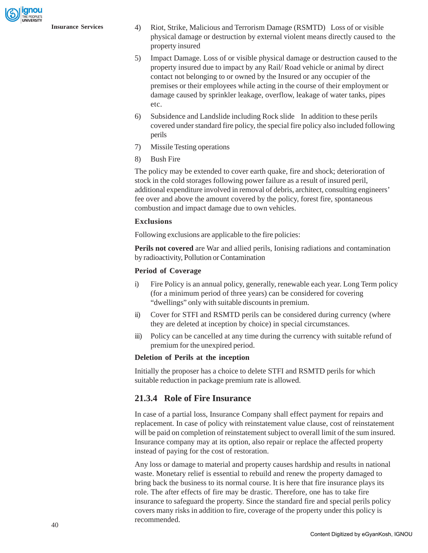gnou

- **Insurance Services** 4) Riot, Strike, Malicious and Terrorism Damage (RSMTD) Loss of or visible physical damage or destruction by external violent means directly caused to the property insured
	- 5) Impact Damage. Loss of or visible physical damage or destruction caused to the property insured due to impact by any Rail/ Road vehicle or animal by direct contact not belonging to or owned by the Insured or any occupier of the premises or their employees while acting in the course of their employment or damage caused by sprinkler leakage, overflow, leakage of water tanks, pipes etc.
	- 6) Subsidence and Landslide including Rock slide In addition to these perils covered under standard fire policy, the special fire policy also included following perils
	- 7) Missile Testing operations
	- 8) Bush Fire

The policy may be extended to cover earth quake, fire and shock; deterioration of stock in the cold storages following power failure as a result of insured peril, additional expenditure involved in removal of debris, architect, consulting engineers' fee over and above the amount covered by the policy, forest fire, spontaneous combustion and impact damage due to own vehicles.

#### **Exclusions**

Following exclusions are applicable to the fire policies:

**Perils not covered** are War and allied perils, Ionising radiations and contamination by radioactivity, Pollution or Contamination

#### **Period of Coverage**

- i) Fire Policy is an annual policy, generally, renewable each year. Long Term policy (for a minimum period of three years) can be considered for covering "dwellings" only with suitable discounts in premium.
- ii) Cover for STFI and RSMTD perils can be considered during currency (where they are deleted at inception by choice) in special circumstances.
- iii) Policy can be cancelled at any time during the currency with suitable refund of premium for the unexpired period.

#### **Deletion of Perils at the inception**

Initially the proposer has a choice to delete STFI and RSMTD perils for which suitable reduction in package premium rate is allowed.

## **21.3.4 Role of Fire Insurance**

In case of a partial loss, Insurance Company shall effect payment for repairs and replacement. In case of policy with reinstatement value clause, cost of reinstatement will be paid on completion of reinstatement subject to overall limit of the sum insured. Insurance company may at its option, also repair or replace the affected property instead of paying for the cost of restoration.

Any loss or damage to material and property causes hardship and results in national waste. Monetary relief is essential to rebuild and renew the property damaged to bring back the business to its normal course. It is here that fire insurance plays its role. The after effects of fire may be drastic. Therefore, one has to take fire insurance to safeguard the property. Since the standard fire and special perils policy covers many risks in addition to fire, coverage of the property under this policy is recommended.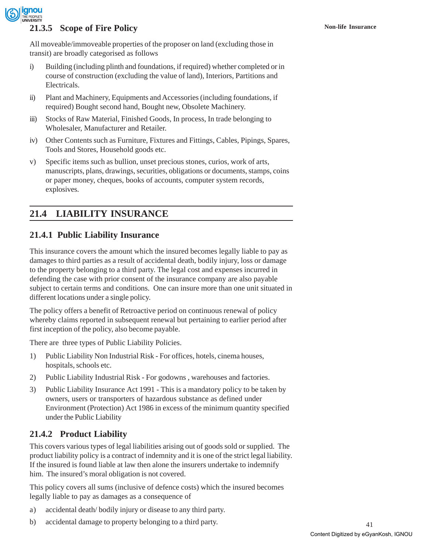

## **21.3.5 Scope of Fire Policy Non-life Insurance**

All moveable/immoveable properties of the proposer on land (excluding those in transit) are broadly categorised as follows

- i) Building (including plinth and foundations, if required) whether completed or in course of construction (excluding the value of land), Interiors, Partitions and Electricals.
- ii) Plant and Machinery, Equipments and Accessories (including foundations, if required) Bought second hand, Bought new, Obsolete Machinery.
- iii) Stocks of Raw Material, Finished Goods, In process, In trade belonging to Wholesaler, Manufacturer and Retailer.
- iv) Other Contents such as Furniture, Fixtures and Fittings, Cables, Pipings, Spares, Tools and Stores, Household goods etc.
- v) Specific items such as bullion, unset precious stones, curios, work of arts, manuscripts, plans, drawings, securities, obligations or documents, stamps, coins or paper money, cheques, books of accounts, computer system records, explosives.

## **21.4 LIABILITY INSURANCE**

## **21.4.1 Public Liability Insurance**

This insurance covers the amount which the insured becomes legally liable to pay as damages to third parties as a result of accidental death, bodily injury, loss or damage to the property belonging to a third party. The legal cost and expenses incurred in defending the case with prior consent of the insurance company are also payable subject to certain terms and conditions. One can insure more than one unit situated in different locations under a single policy.

The policy offers a benefit of Retroactive period on continuous renewal of policy whereby claims reported in subsequent renewal but pertaining to earlier period after first inception of the policy, also become payable.

There are three types of Public Liability Policies.

- 1) Public Liability Non Industrial Risk For offices, hotels, cinema houses, hospitals, schools etc.
- 2) Public Liability Industrial Risk For godowns , warehouses and factories.
- 3) Public Liability Insurance Act 1991 This is a mandatory policy to be taken by owners, users or transporters of hazardous substance as defined under Environment (Protection) Act 1986 in excess of the minimum quantity specified under the Public Liability

## **21.4.2 Product Liability**

This covers various types of legal liabilities arising out of goods sold or supplied. The product liability policy is a contract of indemnity and it is one of the strict legal liability. If the insured is found liable at law then alone the insurers undertake to indemnify him. The insured's moral obligation is not covered.

This policy covers all sums (inclusive of defence costs) which the insured becomes legally liable to pay as damages as a consequence of

- a) accidental death/ bodily injury or disease to any third party.
- b) accidental damage to property belonging to a third party.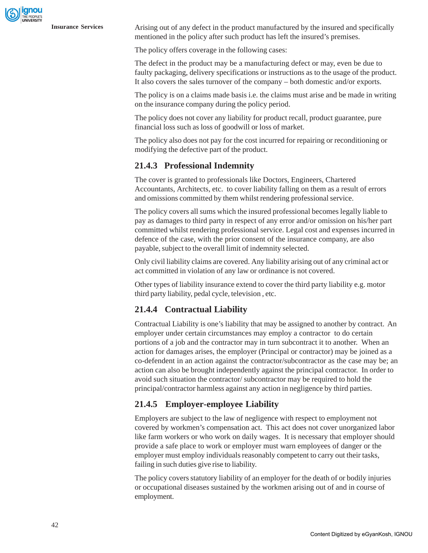**Insurance Services** Arising out of any defect in the product manufactured by the insured and specifically mentioned in the policy after such product has left the insured's premises.

The policy offers coverage in the following cases:

The defect in the product may be a manufacturing defect or may, even be due to faulty packaging, delivery specifications or instructions as to the usage of the product. It also covers the sales turnover of the company – both domestic and/or exports.

The policy is on a claims made basis i.e. the claims must arise and be made in writing on the insurance company during the policy period.

The policy does not cover any liability for product recall, product guarantee, pure financial loss such as loss of goodwill or loss of market.

The policy also does not pay for the cost incurred for repairing or reconditioning or modifying the defective part of the product.

## **21.4.3 Professional Indemnity**

The cover is granted to professionals like Doctors, Engineers, Chartered Accountants, Architects, etc. to cover liability falling on them as a result of errors and omissions committed by them whilst rendering professional service.

The policy covers all sums which the insured professional becomes legally liable to pay as damages to third party in respect of any error and/or omission on his/her part committed whilst rendering professional service. Legal cost and expenses incurred in defence of the case, with the prior consent of the insurance company, are also payable, subject to the overall limit of indemnity selected.

Only civil liability claims are covered. Any liability arising out of any criminal act or act committed in violation of any law or ordinance is not covered.

Other types of liability insurance extend to cover the third party liability e.g. motor third party liability, pedal cycle, television , etc.

### **21.4.4 Contractual Liability**

Contractual Liability is one's liability that may be assigned to another by contract. An employer under certain circumstances may employ a contractor to do certain portions of a job and the contractor may in turn subcontract it to another. When an action for damages arises, the employer (Principal or contractor) may be joined as a co-defendent in an action against the contractor/subcontractor as the case may be; an action can also be brought independently against the principal contractor. In order to avoid such situation the contractor/ subcontractor may be required to hold the principal/contractor harmless against any action in negligence by third parties.

## **21.4.5 Employer-employee Liability**

Employers are subject to the law of negligence with respect to employment not covered by workmen's compensation act. This act does not cover unorganized labor like farm workers or who work on daily wages. It is necessary that employer should provide a safe place to work or employer must warn employees of danger or the employer must employ individuals reasonably competent to carry out their tasks, failing in such duties give rise to liability.

The policy covers statutory liability of an employer for the death of or bodily injuries or occupational diseases sustained by the workmen arising out of and in course of employment.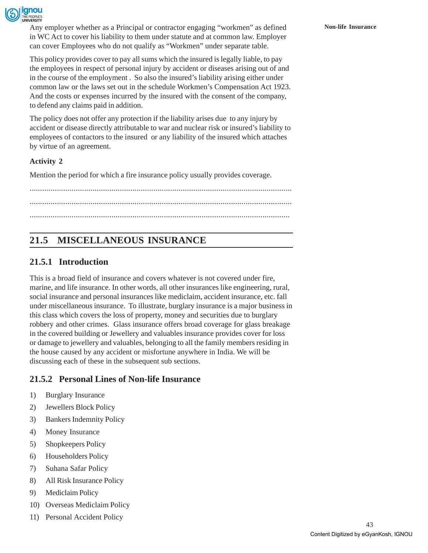

Any employer whether as a Principal or contractor engaging "workmen" as defined **Non-life Insurance** in WC Act to cover his liability to them under statute and at common law. Employer can cover Employees who do not qualify as "Workmen" under separate table.

This policy provides cover to pay all sums which the insured is legally liable, to pay the employees in respect of personal injury by accident or diseases arising out of and in the course of the employment . So also the insured's liability arising either under common law or the laws set out in the schedule Workmen's Compensation Act 1923. And the costs or expenses incurred by the insured with the consent of the company, to defend any claims paid in addition.

The policy does not offer any protection if the liability arises due to any injury by accident or disease directly attributable to war and nuclear risk or insured's liability to employees of contactors to the insured or any liability of the insured which attaches by virtue of an agreement.

## **Activity 2**

Mention the period for which a fire insurance policy usually provides coverage.

............................................................................................................................. ............................................................................................................................. ............................................................................................................................

# **21.5 MISCELLANEOUS INSURANCE**

## **21.5.1 Introduction**

This is a broad field of insurance and covers whatever is not covered under fire, marine, and life insurance. In other words, all other insurances like engineering, rural, social insurance and personal insurances like mediclaim, accident insurance, etc. fall under miscellaneous insurance. To illustrate, burglary insurance is a major business in this class which covers the loss of property, money and securities due to burglary robbery and other crimes. Glass insurance offers broad coverage for glass breakage in the covered building or Jewellery and valuables insurance provides cover for loss or damage to jewellery and valuables, belonging to all the family members residing in the house caused by any accident or misfortune anywhere in India. We will be discussing each of these in the subsequent sub sections.

## **21.5.2 Personal Lines of Non-life Insurance**

- 1) Burglary Insurance
- 2) Jewellers Block Policy
- 3) Bankers Indemnity Policy
- 4) Money Insurance
- 5) Shopkeepers Policy
- 6) Householders Policy
- 7) Suhana Safar Policy
- 8) All Risk Insurance Policy
- 9) Mediclaim Policy
- 10) Overseas Mediclaim Policy
- 11) Personal Accident Policy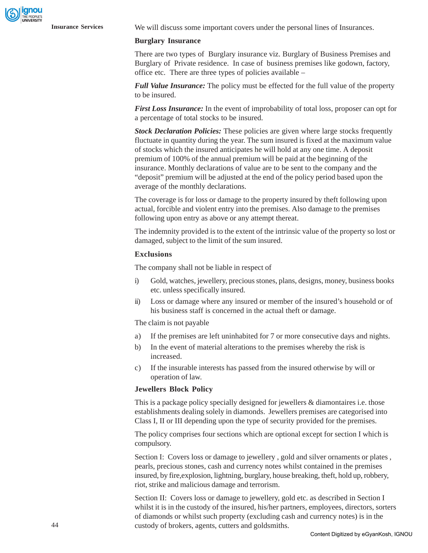**Insurance Services** We will discuss some important covers under the personal lines of Insurances.

#### **Burglary Insurance**

There are two types of Burglary insurance viz. Burglary of Business Premises and Burglary of Private residence. In case of business premises like godown, factory, office etc. There are three types of policies available –

*Full Value Insurance:* The policy must be effected for the full value of the property to be insured.

*First Loss Insurance:* In the event of improbability of total loss, proposer can opt for a percentage of total stocks to be insured.

*Stock Declaration Policies:* These policies are given where large stocks frequently fluctuate in quantity during the year. The sum insured is fixed at the maximum value of stocks which the insured anticipates he will hold at any one time. A deposit premium of 100% of the annual premium will be paid at the beginning of the insurance. Monthly declarations of value are to be sent to the company and the "deposit" premium will be adjusted at the end of the policy period based upon the average of the monthly declarations.

The coverage is for loss or damage to the property insured by theft following upon actual, forcible and violent entry into the premises. Also damage to the premises following upon entry as above or any attempt thereat.

The indemnity provided is to the extent of the intrinsic value of the property so lost or damaged, subject to the limit of the sum insured.

#### **Exclusions**

The company shall not be liable in respect of

- i) Gold, watches, jewellery, precious stones, plans, designs, money, business books etc. unless specifically insured.
- ii) Loss or damage where any insured or member of the insured's household or of his business staff is concerned in the actual theft or damage.

The claim is not payable

- a) If the premises are left uninhabited for 7 or more consecutive days and nights.
- b) In the event of material alterations to the premises whereby the risk is increased.
- c) If the insurable interests has passed from the insured otherwise by will or operation of law.

#### **Jewellers Block Policy**

This is a package policy specially designed for jewellers & diamontaires i.e. those establishments dealing solely in diamonds. Jewellers premises are categorised into Class I, II or III depending upon the type of security provided for the premises.

The policy comprises four sections which are optional except for section I which is compulsory.

Section I: Covers loss or damage to jewellery , gold and silver ornaments or plates , pearls, precious stones, cash and currency notes whilst contained in the premises insured, by fire,explosion, lightning, burglary, house breaking, theft, hold up, robbery, riot, strike and malicious damage and terrorism.

Section II: Covers loss or damage to jewellery, gold etc. as described in Section I whilst it is in the custody of the insured, his/her partners, employees, directors, sorters of diamonds or whilst such property (excluding cash and currency notes) is in the custody of brokers, agents, cutters and goldsmiths.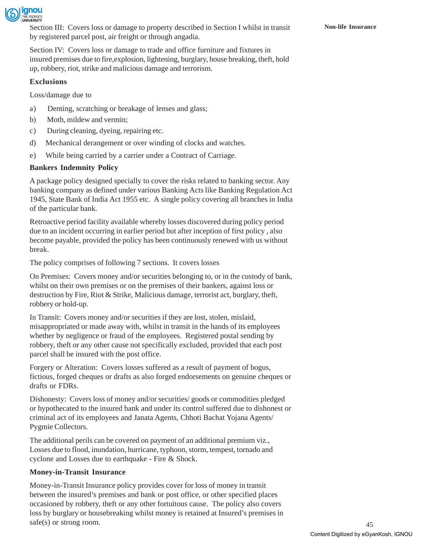

Section III: Covers loss or damage to property described in Section I whilst in transit **Non-life Insurance** by registered parcel post, air freight or through angadia.

Section IV: Covers loss or damage to trade and office furniture and fixtures in insured premises due to fire,explosion, lightening, burglary, house breaking, theft, hold up, robbery, riot, strike and malicious damage and terrorism.

#### **Exclusions**

Loss/damage due to

- a) Denting, scratching or breakage of lenses and glass;
- b) Moth, mildew and vermin;
- c) During cleaning, dyeing, repairing etc.
- d) Mechanical derangement or over winding of clocks and watches.
- e) While being carried by a carrier under a Contract of Carriage.

#### **Bankers Indemnity Policy**

A package policy designed specially to cover the risks related to banking sector. Any banking company as defined under various Banking Acts like Banking Regulation Act 1945, State Bank of India Act 1955 etc. A single policy covering all branches in India of the particular bank.

Retroactive period facility available whereby losses discovered during policy period due to an incident occurring in earlier period but after inception of first policy , also become payable, provided the policy has been continuously renewed with us without break.

The policy comprises of following 7 sections. It covers losses

On Premises: Covers money and/or securities belonging to, or in the custody of bank, whilst on their own premises or on the premises of their bankers, against loss or destruction by Fire, Riot & Strike, Malicious damage, terrorist act, burglary, theft, robbery or hold-up.

In Transit: Covers money and/or securities if they are lost, stolen, mislaid, misappropriated or made away with, whilst in transit in the hands of its employees whether by negligence or fraud of the employees. Registered postal sending by robbery, theft or any other cause not specifically excluded, provided that each post parcel shall be insured with the post office.

Forgery or Alteration: Covers losses suffered as a result of payment of bogus, fictious, forged cheques or drafts as also forged endorsements on genuine cheques or drafts or FDRs.

Dishonesty: Covers loss of money and/or securities/ goods or commodities pledged or hypothecated to the insured bank and under its control suffered due to dishonest or criminal act of its employees and Janata Agents, Chhoti Bachat Yojana Agents/ Pygmie Collectors.

The additional perils can be covered on payment of an additional premium viz., Losses due to flood, inundation, hurricane, typhoon, storm, tempest, tornado and cyclone and Losses due to earthquake - Fire & Shock.

#### **Money-in-Transit Insurance**

Money-in-Transit Insurance policy provides cover for loss of money in transit between the insured's premises and bank or post office, or other specified places occasioned by robbery, theft or any other fortuitous cause. The policy also covers loss by burglary or housebreaking whilst money is retained at Insured's premises in safe(s) or strong room.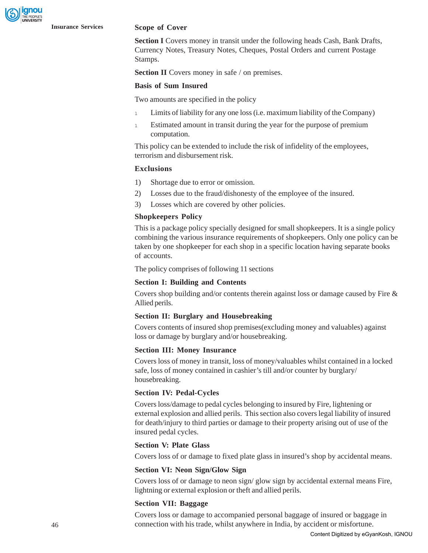#### **Insurance Services Scope of Cover**

**Section I** Covers money in transit under the following heads Cash, Bank Drafts, Currency Notes, Treasury Notes, Cheques, Postal Orders and current Postage Stamps.

**Section II** Covers money in safe / on premises.

#### **Basis of Sum Insured**

Two amounts are specified in the policy

- <sup>l</sup> Limits of liability for any one loss (i.e. maximum liability of the Company)
- 1 Estimated amount in transit during the year for the purpose of premium computation.

This policy can be extended to include the risk of infidelity of the employees, terrorism and disbursement risk.

#### **Exclusions**

- 1) Shortage due to error or omission.
- 2) Losses due to the fraud/dishonesty of the employee of the insured.
- 3) Losses which are covered by other policies.

#### **Shopkeepers Policy**

This is a package policy specially designed for small shopkeepers. It is a single policy combining the various insurance requirements of shopkeepers. Only one policy can be taken by one shopkeeper for each shop in a specific location having separate books of accounts.

The policy comprises of following 11 sections

#### **Section I: Building and Contents**

Covers shop building and/or contents therein against loss or damage caused by Fire & Allied perils.

#### **Section II: Burglary and Housebreaking**

Covers contents of insured shop premises(excluding money and valuables) against loss or damage by burglary and/or housebreaking.

#### **Section III: Money Insurance**

Covers loss of money in transit, loss of money/valuables whilst contained in a locked safe, loss of money contained in cashier's till and/or counter by burglary/ housebreaking.

#### **Section IV: Pedal-Cycles**

Covers loss/damage to pedal cycles belonging to insured by Fire, lightening or external explosion and allied perils. This section also covers legal liability of insured for death/injury to third parties or damage to their property arising out of use of the insured pedal cycles.

#### **Section V: Plate Glass**

Covers loss of or damage to fixed plate glass in insured's shop by accidental means.

#### **Section VI: Neon Sign/Glow Sign**

Covers loss of or damage to neon sign/ glow sign by accidental external means Fire, lightning or external explosion or theft and allied perils.

#### **Section VII: Baggage**

Covers loss or damage to accompanied personal baggage of insured or baggage in connection with his trade, whilst anywhere in India, by accident or misfortune.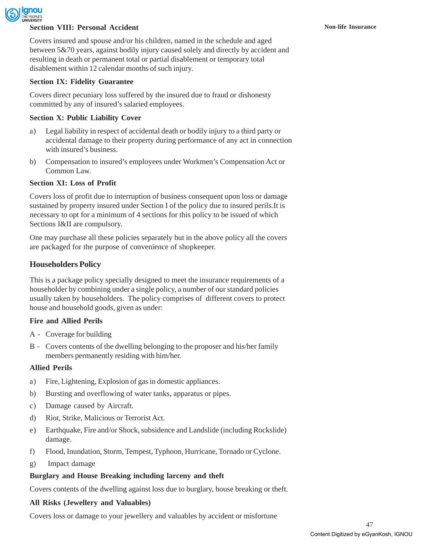

#### **Section VIII: Personal Accident Non-life Insurance Non-life Insurance**

Covers insured and spouse and/or his children, named in the schedule and aged between 5&70 years, against bodily injury caused solely and directly by accident and resulting in death or permanent total or partial disablement or temporary total disablement within 12 calendar months of such injury.

#### **Section IX: Fidelity Guarantee**

Covers direct pecuniary loss suffered by the insured due to fraud or dishonesty committed by any of insured's salaried employees.

#### **Section X: Public Liability Cover**

- a) Legal liability in respect of accidental death or bodily injury to a third party or accidental damage to their property during performance of any act in connection with insured's business.
- b) Compensation to insured's employees under Workmen's Compensation Act or Common Law.

#### **Section XI: Loss of Profit**

Covers loss of profit due to interruption of business consequent upon loss or damage sustained by property insured under Section I of the policy due to insured perils.It is necessary to opt for a minimum of 4 sections for this policy to be issued of which Sections I&II are compulsory.

One may purchase all these policies separately but in the above policy all the covers are packaged for the purpose of convenience of shopkeeper.

#### **Householders Policy**

This is a package policy specially designed to meet the insurance requirements of a householder by combining under a single policy, a number of our standard policies usually taken by householders. The policy comprises of different covers to protect house and household goods, given as under:

#### **Fire and Allied Perils**

- A Coverage for building
- B Covers contents of the dwelling belonging to the proposer and his/her family members permanently residing with him/her.

#### **Allied Perils**

- a) Fire, Lightening, Explosion of gas in domestic appliances.
- b) Bursting and overflowing of water tanks, apparatus or pipes.
- c) Damage caused by Aircraft.
- d) Riot, Strike, Malicious or Terrorist Act.
- e) Earthquake, Fire and/or Shock, subsidence and Landslide (including Rockslide) damage.
- f) Flood, Inundation, Storm, Tempest, Typhoon, Hurricane, Tornado or Cyclone.
- g) Impact damage

#### **Burglary and House Breaking including larceny and theft**

Covers contents of the dwelling against loss due to burglary, house breaking or theft.

#### **All Risks (Jewellery and Valuables)**

Covers loss or damage to your jewellery and valuables by accident or misfortune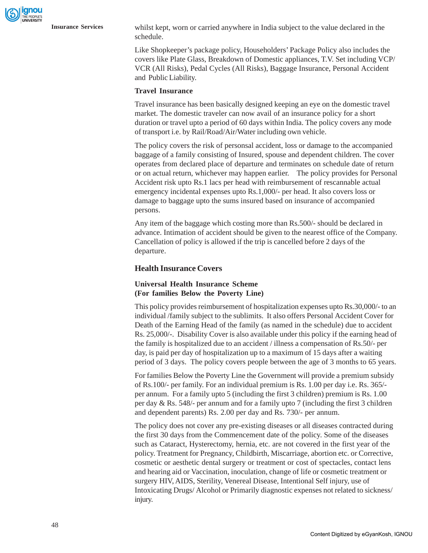**Insurance Services** whilst kept, worn or carried anywhere in India subject to the value declared in the schedule.

> Like Shopkeeper's package policy, Householders' Package Policy also includes the covers like Plate Glass, Breakdown of Domestic appliances, T.V. Set including VCP/ VCR (All Risks), Pedal Cycles (All Risks), Baggage Insurance, Personal Accident and Public Liability.

#### **Travel Insurance**

Travel insurance has been basically designed keeping an eye on the domestic travel market. The domestic traveler can now avail of an insurance policy for a short duration or travel upto a period of 60 days within India. The policy covers any mode of transport i.e. by Rail/Road/Air/Water including own vehicle.

The policy covers the risk of personsal accident, loss or damage to the accompanied baggage of a family consisting of Insured, spouse and dependent children. The cover operates from declared place of departure and terminates on schedule date of return or on actual return, whichever may happen earlier. The policy provides for Personal Accident risk upto Rs.1 lacs per head with reimbursement of rescannable actual emergency incidental expenses upto Rs.1,000/- per head. It also covers loss or damage to baggage upto the sums insured based on insurance of accompanied persons.

Any item of the baggage which costing more than Rs.500/- should be declared in advance. Intimation of accident should be given to the nearest office of the Company. Cancellation of policy is allowed if the trip is cancelled before 2 days of the departure.

#### **Health Insurance Covers**

#### **Universal Health Insurance Scheme (For families Below the Poverty Line)**

This policy provides reimbursement of hospitalization expenses upto Rs.30,000/- to an individual /family subject to the sublimits. It also offers Personal Accident Cover for Death of the Earning Head of the family (as named in the schedule) due to accident Rs. 25,000/-. Disability Cover is also available under this policy if the earning head of the family is hospitalized due to an accident / illness a compensation of Rs.50/- per day, is paid per day of hospitalization up to a maximum of 15 days after a waiting period of 3 days. The policy covers people between the age of 3 months to 65 years.

For families Below the Poverty Line the Government will provide a premium subsidy of Rs.100/- per family. For an individual premium is Rs. 1.00 per day i.e. Rs. 365/ per annum. For a family upto 5 (including the first 3 children) premium is Rs. 1.00 per day & Rs. 548/- per annum and for a family upto 7 (including the first 3 children and dependent parents) Rs. 2.00 per day and Rs. 730/- per annum.

The policy does not cover any pre-existing diseases or all diseases contracted during the first 30 days from the Commencement date of the policy. Some of the diseases such as Cataract, Hysterectomy, hernia, etc. are not covered in the first year of the policy. Treatment for Pregnancy, Childbirth, Miscarriage, abortion etc. or Corrective, cosmetic or aesthetic dental surgery or treatment or cost of spectacles, contact lens and hearing aid or Vaccination, inoculation, change of life or cosmetic treatment or surgery HIV, AIDS, Sterility, Venereal Disease, Intentional Self injury, use of Intoxicating Drugs/ Alcohol or Primarily diagnostic expenses not related to sickness/ injury.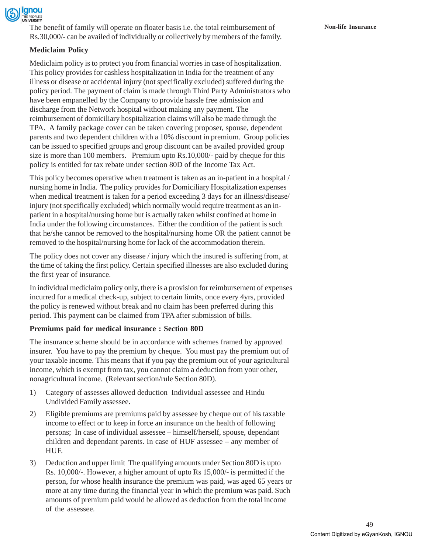

The benefit of family will operate on floater basis i.e. the total reimbursement of **Non-life Insurance** Rs.30,000/- can be availed of individually or collectively by members of the family.

### **Mediclaim Policy**

Mediclaim policy is to protect you from financial worries in case of hospitalization. This policy provides for cashless hospitalization in India for the treatment of any illness or disease or accidental injury (not specifically excluded) suffered during the policy period. The payment of claim is made through Third Party Administrators who have been empanelled by the Company to provide hassle free admission and discharge from the Network hospital without making any payment. The reimbursement of domiciliary hospitalization claims will also be made through the TPA. A family package cover can be taken covering proposer, spouse, dependent parents and two dependent children with a 10% discount in premium. Group policies can be issued to specified groups and group discount can be availed provided group size is more than 100 members. Premium upto Rs.10,000/- paid by cheque for this policy is entitled for tax rebate under section 80D of the Income Tax Act.

This policy becomes operative when treatment is taken as an in-patient in a hospital / nursing home in India. The policy provides for Domiciliary Hospitalization expenses when medical treatment is taken for a period exceeding 3 days for an illness/disease/ injury (not specifically excluded) which normally would require treatment as an inpatient in a hospital/nursing home but is actually taken whilst confined at home in India under the following circumstances. Either the condition of the patient is such that he/she cannot be removed to the hospital/nursing home OR the patient cannot be removed to the hospital/nursing home for lack of the accommodation therein.

The policy does not cover any disease / injury which the insured is suffering from, at the time of taking the first policy. Certain specified illnesses are also excluded during the first year of insurance.

In individual mediclaim policy only, there is a provision for reimbursement of expenses incurred for a medical check-up, subject to certain limits, once every 4yrs, provided the policy is renewed without break and no claim has been preferred during this period. This payment can be claimed from TPA after submission of bills.

#### **Premiums paid for medical insurance : Section 80D**

The insurance scheme should be in accordance with schemes framed by approved insurer. You have to pay the premium by cheque. You must pay the premium out of your taxable income. This means that if you pay the premium out of your agricultural income, which is exempt from tax, you cannot claim a deduction from your other, nonagricultural income. (Relevant section/rule Section 80D).

- 1) Category of assesses allowed deduction Individual assessee and Hindu Undivided Family assessee.
- 2) Eligible premiums are premiums paid by assessee by cheque out of his taxable income to effect or to keep in force an insurance on the health of following persons; In case of individual assessee – himself/herself, spouse, dependant children and dependant parents. In case of HUF assessee – any member of HUF.
- 3) Deduction and upper limit The qualifying amounts under Section 80D is upto Rs. 10,000/-. However, a higher amount of upto Rs 15,000/- is permitted if the person, for whose health insurance the premium was paid, was aged 65 years or more at any time during the financial year in which the premium was paid. Such amounts of premium paid would be allowed as deduction from the total income of the assessee.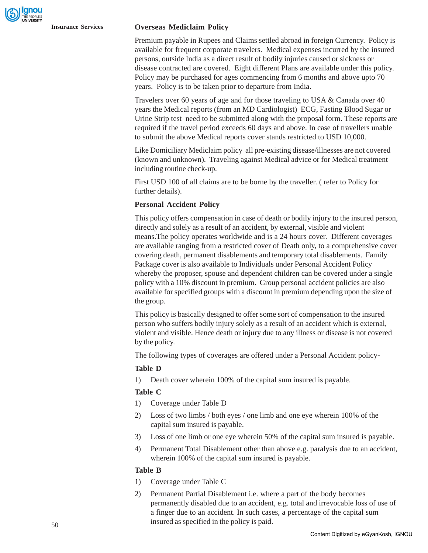#### **Insurance Services Overseas Mediclaim Policy**

Premium payable in Rupees and Claims settled abroad in foreign Currency. Policy is available for frequent corporate travelers. Medical expenses incurred by the insured persons, outside India as a direct result of bodily injuries caused or sickness or disease contracted are covered. Eight different Plans are available under this policy. Policy may be purchased for ages commencing from 6 months and above upto 70 years. Policy is to be taken prior to departure from India.

Travelers over 60 years of age and for those traveling to USA & Canada over 40 years the Medical reports (from an MD Cardiologist) ECG, Fasting Blood Sugar or Urine Strip test need to be submitted along with the proposal form. These reports are required if the travel period exceeds 60 days and above. In case of travellers unable to submit the above Medical reports cover stands restricted to USD 10,000.

Like Domiciliary Mediclaim policy all pre-existing disease/illnesses are not covered (known and unknown). Traveling against Medical advice or for Medical treatment including routine check-up.

First USD 100 of all claims are to be borne by the traveller. ( refer to Policy for further details).

#### **Personal Accident Policy**

This policy offers compensation in case of death or bodily injury to the insured person, directly and solely as a result of an accident, by external, visible and violent means.The policy operates worldwide and is a 24 hours cover. Different coverages are available ranging from a restricted cover of Death only, to a comprehensive cover covering death, permanent disablements and temporary total disablements. Family Package cover is also available to Individuals under Personal Accident Policy whereby the proposer, spouse and dependent children can be covered under a single policy with a 10% discount in premium. Group personal accident policies are also available for specified groups with a discount in premium depending upon the size of the group.

This policy is basically designed to offer some sort of compensation to the insured person who suffers bodily injury solely as a result of an accident which is external, violent and visible. Hence death or injury due to any illness or disease is not covered by the policy.

The following types of coverages are offered under a Personal Accident policy-

#### **Table D**

1) Death cover wherein 100% of the capital sum insured is payable.

#### **Table C**

- 1) Coverage under Table D
- 2) Loss of two limbs / both eyes / one limb and one eye wherein 100% of the capital sum insured is payable.
- 3) Loss of one limb or one eye wherein 50% of the capital sum insured is payable.
- 4) Permanent Total Disablement other than above e.g. paralysis due to an accident, wherein 100% of the capital sum insured is payable.

#### **Table B**

- 1) Coverage under Table C
- 2) Permanent Partial Disablement i.e. where a part of the body becomes permanently disabled due to an accident, e.g. total and irrevocable loss of use of a finger due to an accident. In such cases, a percentage of the capital sum insured as specified in the policy is paid.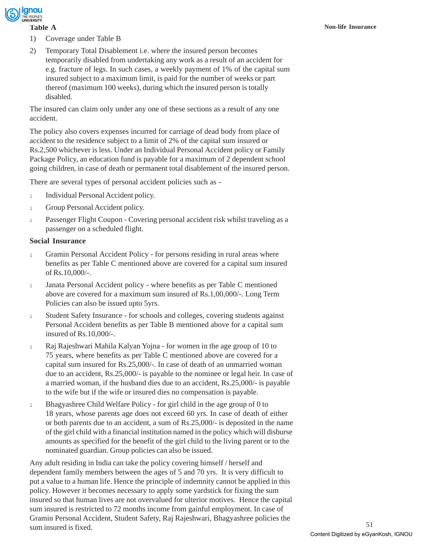

- 1) Coverage under Table B
- 2) Temporary Total Disablement i.e. where the insured person becomes temporarily disabled from undertaking any work as a result of an accident for e.g. fracture of legs. In such cases, a weekly payment of 1% of the capital sum insured subject to a maximum limit, is paid for the number of weeks or part thereof (maximum 100 weeks), during which the insured person is totally disabled.

The insured can claim only under any one of these sections as a result of any one accident.

The policy also covers expenses incurred for carriage of dead body from place of accident to the residence subject to a limit of 2% of the capital sum insured or Rs.2,500 whichever is less. Under an Individual Personal Accident policy or Family Package Policy, an education fund is payable for a maximum of 2 dependent school going children, in case of death or permanent total disablement of the insured person.

There are several types of personal accident policies such as -

- 1 Individual Personal Accident policy.
- 1 Group Personal Accident policy.
- <sup>l</sup> Passenger Flight Coupon Covering personal accident risk whilst traveling as a passenger on a scheduled flight.

#### **Social Insurance**

- <sup>l</sup> Gramin Personal Accident Policy for persons residing in rural areas where benefits as per Table C mentioned above are covered for a capital sum insured of Rs.10,000/-.
- <sup>l</sup> Janata Personal Accident policy where benefits as per Table C mentioned above are covered for a maximum sum insured of Rs.1,00,000/-. Long Term Policies can also be issued upto 5yrs.
- <sup>l</sup> Student Safety Insurance for schools and colleges, covering students against Personal Accident benefits as per Table B mentioned above for a capital sum insured of Rs.10,000/-.
- <sup>l</sup> Raj Rajeshwari Mahila Kalyan Yojna for women in the age group of 10 to 75 years, where benefits as per Table C mentioned above are covered for a capital sum insured for Rs.25,000/-. In case of death of an unmarried woman due to an accident, Rs.25,000/- is payable to the nominee or legal heir. In case of a married woman, if the husband dies due to an accident, Rs.25,000/- is payable to the wife but if the wife or insured dies no compensation is payable.
- <sup>l</sup> Bhagyashree Child Welfare Policy for girl child in the age group of 0 to 18 years, whose parents age does not exceed 60 yrs. In case of death of either or both parents due to an accident, a sum of Rs.25,000/- is deposited in the name of the girl child with a financial institution named in the policy which will disburse amounts as specified for the benefit of the girl child to the living parent or to the nominated guardian. Group policies can also be issued.

Any adult residing in India can take the policy covering himself / herself and dependent family members between the ages of 5 and 70 yrs. It is very difficult to put a value to a human life. Hence the principle of indemnity cannot be applied in this policy. However it becomes necessary to apply some yardstick for fixing the sum insured so that human lives are not overvalued for ulterior motives. Hence the capital sum insured is restricted to 72 months income from gainful employment. In case of Gramin Personal Accident, Student Safety, Raj Rajeshwari, Bhagyashree policies the sum insured is fixed.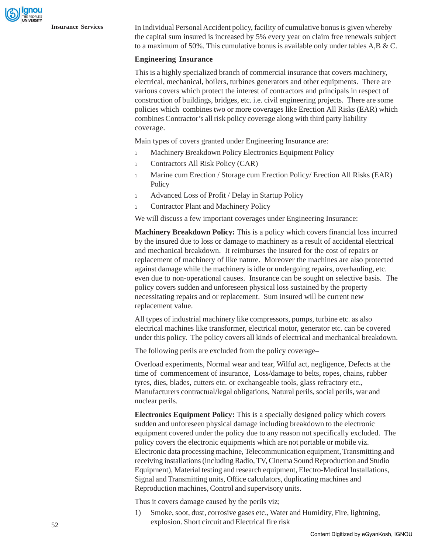gnou

**Insurance Services** In Individual Personal Accident policy, facility of cumulative bonus is given whereby the capital sum insured is increased by 5% every year on claim free renewals subject to a maximum of 50%. This cumulative bonus is available only under tables A,B & C.

#### **Engineering Insurance**

This is a highly specialized branch of commercial insurance that covers machinery, electrical, mechanical, boilers, turbines generators and other equipments. There are various covers which protect the interest of contractors and principals in respect of construction of buildings, bridges, etc. i.e. civil engineering projects. There are some policies which combines two or more coverages like Erection All Risks (EAR) which combines Contractor's all risk policy coverage along with third party liability coverage.

Main types of covers granted under Engineering Insurance are:

- 1 Machinery Breakdown Policy Electronics Equipment Policy
- <sup>l</sup> Contractors All Risk Policy (CAR)
- <sup>l</sup> Marine cum Erection / Storage cum Erection Policy/ Erection All Risks (EAR) **Policy**
- 1 Advanced Loss of Profit / Delay in Startup Policy
- 1 Contractor Plant and Machinery Policy

We will discuss a few important coverages under Engineering Insurance:

**Machinery Breakdown Policy:** This is a policy which covers financial loss incurred by the insured due to loss or damage to machinery as a result of accidental electrical and mechanical breakdown. It reimburses the insured for the cost of repairs or replacement of machinery of like nature. Moreover the machines are also protected against damage while the machinery is idle or undergoing repairs, overhauling, etc. even due to non-operational causes. Insurance can be sought on selective basis. The policy covers sudden and unforeseen physical loss sustained by the property necessitating repairs and or replacement. Sum insured will be current new replacement value.

All types of industrial machinery like compressors, pumps, turbine etc. as also electrical machines like transformer, electrical motor, generator etc. can be covered under this policy. The policy covers all kinds of electrical and mechanical breakdown.

The following perils are excluded from the policy coverage–

Overload experiments, Normal wear and tear, Wilful act, negligence, Defects at the time of commencement of insurance, Loss/damage to belts, ropes, chains, rubber tyres, dies, blades, cutters etc. or exchangeable tools, glass refractory etc., Manufacturers contractual/legal obligations, Natural perils, social perils, war and nuclear perils.

**Electronics Equipment Policy:** This is a specially designed policy which covers sudden and unforeseen physical damage including breakdown to the electronic equipment covered under the policy due to any reason not specifically excluded. The policy covers the electronic equipments which are not portable or mobile viz. Electronic data processing machine, Telecommunication equipment, Transmitting and receiving installations (including Radio, TV, Cinema Sound Reproduction and Studio Equipment), Material testing and research equipment, Electro-Medical Installations, Signal and Transmitting units, Office calculators, duplicating machines and Reproduction machines, Control and supervisory units.

Thus it covers damage caused by the perils viz;

1) Smoke, soot, dust, corrosive gases etc., Water and Humidity, Fire, lightning, explosion. Short circuit and Electrical fire risk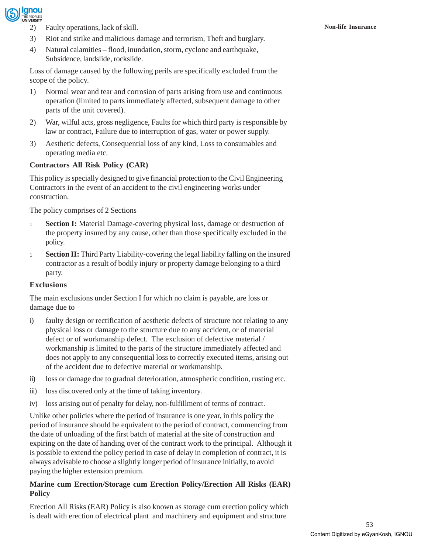

- 2) Faulty operations, lack of skill. **Non-life Insurance**
- 3) Riot and strike and malicious damage and terrorism, Theft and burglary.
- 4) Natural calamities flood, inundation, storm, cyclone and earthquake, Subsidence, landslide, rockslide.

Loss of damage caused by the following perils are specifically excluded from the scope of the policy.

- 1) Normal wear and tear and corrosion of parts arising from use and continuous operation (limited to parts immediately affected, subsequent damage to other parts of the unit covered).
- 2) War, wilful acts, gross negligence, Faults for which third party is responsible by law or contract, Failure due to interruption of gas, water or power supply.
- 3) Aesthetic defects, Consequential loss of any kind, Loss to consumables and operating media etc.

### **Contractors All Risk Policy (CAR)**

This policy is specially designed to give financial protection to the Civil Engineering Contractors in the event of an accident to the civil engineering works under construction.

The policy comprises of 2 Sections

- <sup>l</sup> **Section I:** Material Damage-covering physical loss, damage or destruction of the property insured by any cause, other than those specifically excluded in the policy.
- <sup>l</sup> **Section II:** Third Party Liability-covering the legal liability falling on the insured contractor as a result of bodily injury or property damage belonging to a third party.

#### **Exclusions**

The main exclusions under Section I for which no claim is payable, are loss or damage due to

- i) faulty design or rectification of aesthetic defects of structure not relating to any physical loss or damage to the structure due to any accident, or of material defect or of workmanship defect. The exclusion of defective material / workmanship is limited to the parts of the structure immediately affected and does not apply to any consequential loss to correctly executed items, arising out of the accident due to defective material or workmanship.
- ii) loss or damage due to gradual deterioration, atmospheric condition, rusting etc.
- iii) loss discovered only at the time of taking inventory.
- iv) loss arising out of penalty for delay, non-fulfillment of terms of contract.

Unlike other policies where the period of insurance is one year, in this policy the period of insurance should be equivalent to the period of contract, commencing from the date of unloading of the first batch of material at the site of construction and expiring on the date of handing over of the contract work to the principal. Although it is possible to extend the policy period in case of delay in completion of contract, it is always advisable to choose a slightly longer period of insurance initially, to avoid paying the higher extension premium.

### **Marine cum Erection/Storage cum Erection Policy/Erection All Risks (EAR) Policy**

Erection All Risks (EAR) Policy is also known as storage cum erection policy which is dealt with erection of electrical plant and machinery and equipment and structure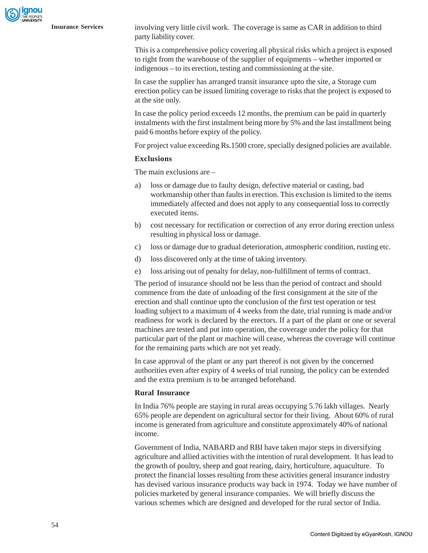**Insurance Services** involving very little civil work. The coverage is same as CAR in addition to third party liability cover.

> This is a comprehensive policy covering all physical risks which a project is exposed to right from the warehouse of the supplier of equipments – whether imported or indigenous – to its erection, testing and commissioning at the site.

> In case the supplier has arranged transit insurance upto the site, a Storage cum erection policy can be issued limiting coverage to risks that the project is exposed to at the site only.

> In case the policy period exceeds 12 months, the premium can be paid in quarterly instalments with the first instalment being more by 5% and the last installment being paid 6 months before expiry of the policy.

> For project value exceeding Rs.1500 crore, specially designed policies are available.

#### **Exclusions**

The main exclusions are –

- a) loss or damage due to faulty design, defective material or casting, bad workmanship other than faults in erection. This exclusion is limited to the items immediately affected and does not apply to any consequential loss to correctly executed items.
- b) cost necessary for rectification or correction of any error during erection unless resulting in physical loss or damage.
- c) loss or damage due to gradual deterioration, atmospheric condition, rusting etc.
- d) loss discovered only at the time of taking inventory.
- e) loss arising out of penalty for delay, non-fulfillment of terms of contract.

The period of insurance should not be less than the period of contract and should commence from the date of unloading of the first consignment at the site of the erection and shall continue upto the conclusion of the first test operation or test loading subject to a maximum of 4 weeks from the date, trial running is made and/or readiness for work is declared by the erectors. If a part of the plant or one or several machines are tested and put into operation, the coverage under the policy for that particular part of the plant or machine will cease, whereas the coverage will continue for the remaining parts which are not yet ready.

In case approval of the plant or any part thereof is not given by the concerned authorities even after expiry of 4 weeks of trial running, the policy can be extended and the extra premium is to be arranged beforehand.

#### **Rural Insurance**

In India 76% people are staying in rural areas occupying 5.76 lakh villages. Nearly 65% people are dependent on agricultural sector for their living. About 60% of rural income is generated from agriculture and constitute approximately 40% of national income.

Government of India, NABARD and RBI have taken major steps in diversifying agriculture and allied activities with the intention of rural development. It has lead to the growth of poultry, sheep and goat rearing, dairy, horticulture, aquaculture. To protect the financial losses resulting from these activities general insurance industry has devised various insurance products way back in 1974. Today we have number of policies marketed by general insurance companies. We will briefly discuss the various schemes which are designed and developed for the rural sector of India.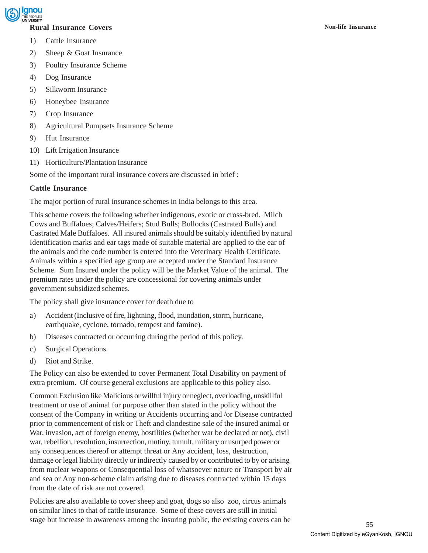

### **Rural Insurance Covers Non-life Insurance**

- 1) Cattle Insurance
- 2) Sheep & Goat Insurance
- 3) Poultry Insurance Scheme
- 4) Dog Insurance
- 5) Silkworm Insurance
- 6) Honeybee Insurance
- 7) Crop Insurance
- 8) Agricultural Pumpsets Insurance Scheme
- 9) Hut Insurance
- 10) Lift Irrigation Insurance
- 11) Horticulture/Plantation Insurance

Some of the important rural insurance covers are discussed in brief :

#### **Cattle Insurance**

The major portion of rural insurance schemes in India belongs to this area.

This scheme covers the following whether indigenous, exotic or cross-bred. Milch Cows and Buffaloes; Calves/Heifers; Stud Bulls; Bullocks (Castrated Bulls) and Castrated Male Buffaloes. All insured animals should be suitably identified by natural Identification marks and ear tags made of suitable material are applied to the ear of the animals and the code number is entered into the Veterinary Health Certificate. Animals within a specified age group are accepted under the Standard Insurance Scheme. Sum Insured under the policy will be the Market Value of the animal. The premium rates under the policy are concessional for covering animals under government subsidized schemes.

The policy shall give insurance cover for death due to

- a) Accident (Inclusive of fire, lightning, flood, inundation, storm, hurricane, earthquake, cyclone, tornado, tempest and famine).
- b) Diseases contracted or occurring during the period of this policy.
- c) Surgical Operations.
- d) Riot and Strike.

The Policy can also be extended to cover Permanent Total Disability on payment of extra premium. Of course general exclusions are applicable to this policy also.

Common Exclusion like Malicious or willful injury or neglect, overloading, unskillful treatment or use of animal for purpose other than stated in the policy without the consent of the Company in writing or Accidents occurring and /or Disease contracted prior to commencement of risk or Theft and clandestine sale of the insured animal or War, invasion, act of foreign enemy, hostilities (whether war be declared or not), civil war, rebellion, revolution, insurrection, mutiny, tumult, military or usurped power or any consequences thereof or attempt threat or Any accident, loss, destruction, damage or legal liability directly or indirectly caused by or contributed to by or arising from nuclear weapons or Consequential loss of whatsoever nature or Transport by air and sea or Any non-scheme claim arising due to diseases contracted within 15 days from the date of risk are not covered.

Policies are also available to cover sheep and goat, dogs so also zoo, circus animals on similar lines to that of cattle insurance. Some of these covers are still in initial stage but increase in awareness among the insuring public, the existing covers can be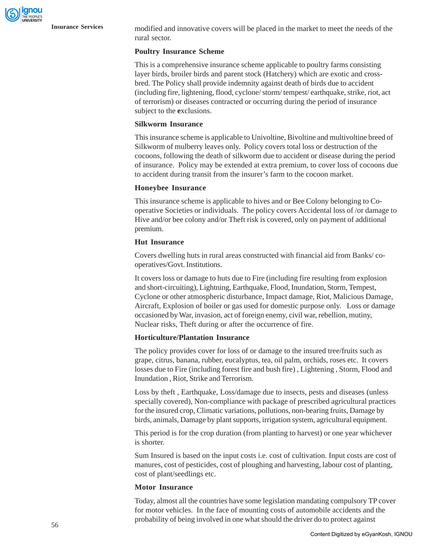**Insurance Services** modified and innovative covers will be placed in the market to meet the needs of the rural sector.

#### **Poultry Insurance Scheme**

This is a comprehensive insurance scheme applicable to poultry farms consisting layer birds, broiler birds and parent stock (Hatchery) which are exotic and crossbred. The Policy shall provide indemnity against death of birds due to accident (including fire, lightening, flood, cyclone/ storm/ tempest/ earthquake, strike, riot, act of terrorism) or diseases contracted or occurring during the period of insurance subject to the **e**xclusions.

#### **Silkworm Insurance**

This insurance scheme is applicable to Univoltine, Bivoltine and multivoltine breed of Silkworm of mulberry leaves only. Policy covers total loss or destruction of the cocoons, following the death of silkworm due to accident or disease during the period of insurance. Policy may be extended at extra premium, to cover loss of cocoons due to accident during transit from the insurer's farm to the cocoon market.

#### **Honeybee Insurance**

This insurance scheme is applicable to hives and or Bee Colony belonging to Cooperative Societies or individuals. The policy covers Accidental loss of /or damage to Hive and/or bee colony and/or Theft risk is covered, only on payment of additional premium.

#### **Hut Insurance**

Covers dwelling huts in rural areas constructed with financial aid from Banks/ cooperatives/Govt. Institutions.

It covers loss or damage to huts due to Fire (including fire resulting from explosion and short-circuiting), Lightning, Earthquake, Flood, Inundation, Storm, Tempest, Cyclone or other atmospheric disturbance, Impact damage, Riot, Malicious Damage, Aircraft, Explosion of boiler or gas used for domestic purpose only. Loss or damage occasioned by War, invasion, act of foreign enemy, civil war, rebellion, mutiny, Nuclear risks, Theft during or after the occurrence of fire.

#### **Horticulture/Plantation Insurance**

The policy provides cover for loss of or damage to the insured tree/fruits such as grape, citrus, banana, rubber, eucalyptus, tea, oil palm, orchids, roses etc. It covers losses due to Fire (including forest fire and bush fire) , Lightening , Storm, Flood and Inundation , Riot, Strike and Terrorism.

Loss by theft , Earthquake, Loss/damage due to insects, pests and diseases (unless specially covered), Non-compliance with package of prescribed agricultural practices for the insured crop, Climatic variations, pollutions, non-bearing fruits, Damage by birds, animals, Damage by plant supports, irrigation system, agricultural equipment.

This period is for the crop duration (from planting to harvest) or one year whichever is shorter.

Sum Insured is based on the input costs i.e. cost of cultivation. Input costs are cost of manures, cost of pesticides, cost of ploughing and harvesting, labour cost of planting, cost of plant/seedlings etc.

#### **Motor Insurance**

Today, almost all the countries have some legislation mandating compulsory TP cover for motor vehicles. In the face of mounting costs of automobile accidents and the probability of being involved in one what should the driver do to protect against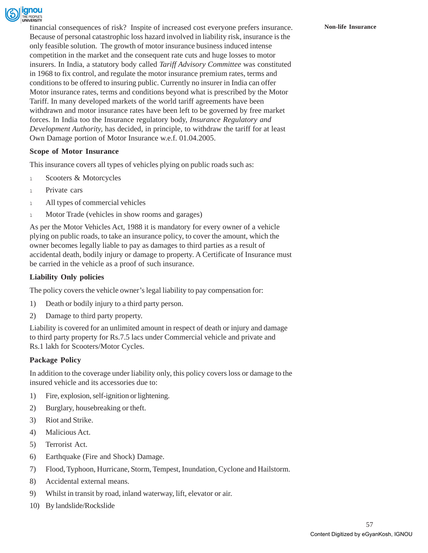

financial consequences of risk? Inspite of increased cost everyone prefers insurance. **Non-life Insurance** Because of personal catastrophic loss hazard involved in liability risk, insurance is the only feasible solution. The growth of motor insurance business induced intense competition in the market and the consequent rate cuts and huge losses to motor insurers. In India, a statutory body called *Tariff Advisory Committee* was constituted in 1968 to fix control, and regulate the motor insurance premium rates, terms and conditions to be offered to insuring public. Currently no insurer in India can offer Motor insurance rates, terms and conditions beyond what is prescribed by the Motor Tariff. In many developed markets of the world tariff agreements have been withdrawn and motor insurance rates have been left to be governed by free market forces. In India too the Insurance regulatory body, *Insurance Regulatory and Development Authority,* has decided, in principle, to withdraw the tariff for at least Own Damage portion of Motor Insurance w.e.f. 01.04.2005.

#### **Scope of Motor Insurance**

This insurance covers all types of vehicles plying on public roads such as:

- 1 Scooters & Motorcycles
- <sup>l</sup> Private cars
- 1 All types of commercial vehicles
- 1 Motor Trade (vehicles in show rooms and garages)

As per the Motor Vehicles Act, 1988 it is mandatory for every owner of a vehicle plying on public roads, to take an insurance policy, to cover the amount, which the owner becomes legally liable to pay as damages to third parties as a result of accidental death, bodily injury or damage to property. A Certificate of Insurance must be carried in the vehicle as a proof of such insurance.

#### **Liability Only policies**

The policy covers the vehicle owner's legal liability to pay compensation for:

- 1) Death or bodily injury to a third party person.
- 2) Damage to third party property.

Liability is covered for an unlimited amount in respect of death or injury and damage to third party property for Rs.7.5 lacs under Commercial vehicle and private and Rs.1 lakh for Scooters/Motor Cycles.

#### **Package Policy**

In addition to the coverage under liability only, this policy covers loss or damage to the insured vehicle and its accessories due to:

- 1) Fire, explosion, self-ignition or lightening.
- 2) Burglary, housebreaking or theft.
- 3) Riot and Strike.
- 4) Malicious Act.
- 5) Terrorist Act.
- 6) Earthquake (Fire and Shock) Damage.
- 7) Flood, Typhoon, Hurricane, Storm, Tempest, Inundation, Cyclone and Hailstorm.
- 8) Accidental external means.
- 9) Whilst in transit by road, inland waterway, lift, elevator or air.
- 10) By landslide/Rockslide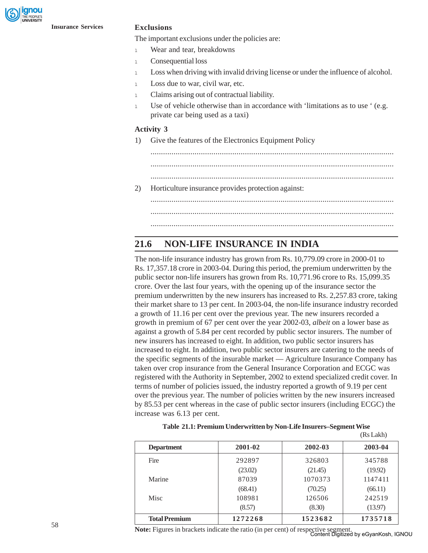The important exclusions under the policies are:

- <sup>l</sup> Wear and tear, breakdowns
- <sup>l</sup> Consequential loss
- 1 Loss when driving with invalid driving license or under the influence of alcohol.
- <sup>l</sup> Loss due to war, civil war, etc.
- <sup>l</sup> Claims arising out of contractual liability.
- <sup>l</sup> Use of vehicle otherwise than in accordance with 'limitations as to use ' (e.g. private car being used as a taxi)

#### **Activity 3**

1) Give the features of the Electronics Equipment Policy

....................................................................................................................

2) Horticulture insurance provides protection against:

.................................................................................................................... .................................................................................................................... ....................................................................................................................

## **21.6 NON-LIFE INSURANCE IN INDIA**

The non-life insurance industry has grown from Rs. 10,779.09 crore in 2000-01 to Rs. 17,357.18 crore in 2003-04. During this period, the premium underwritten by the public sector non-life insurers has grown from Rs. 10,771.96 crore to Rs. 15,099.35 crore. Over the last four years, with the opening up of the insurance sector the premium underwritten by the new insurers has increased to Rs. 2,257.83 crore, taking their market share to 13 per cent. In 2003-04, the non-life insurance industry recorded a growth of 11.16 per cent over the previous year. The new insurers recorded a growth in premium of 67 per cent over the year 2002-03, *albeit* on a lower base as against a growth of 5.84 per cent recorded by public sector insurers. The number of new insurers has increased to eight. In addition, two public sector insurers has increased to eight. In addition, two public sector insurers are catering to the needs of the specific segments of the insurable market — Agriculture Insurance Company has taken over crop insurance from the General Insurance Corporation and ECGC was registered with the Authority in September, 2002 to extend specialized credit cover. In terms of number of policies issued, the industry reported a growth of 9.19 per cent over the previous year. The number of policies written by the new insurers increased by 85.53 per cent whereas in the case of public sector insurers (including ECGC) the increase was 6.13 per cent.

| <b>Department</b>    | 2001-02 | 2002-03 | 2003-04 |
|----------------------|---------|---------|---------|
| Fire                 | 292897  | 326803  | 345788  |
|                      | (23.02) | (21.45) | (19.92) |
| Marine               | 87039   | 1070373 | 1147411 |
|                      | (68.41) | (70.25) | (66.11) |
| <b>Misc</b>          | 108981  | 126506  | 242519  |
|                      | (8.57)  | (8.30)  | (13.97) |
| <b>Total Premium</b> | 1272268 | 1523682 | 1735718 |

|  | Table 21.1: Premium Underwritten by Non-Life Insurers-Segment Wise |
|--|--------------------------------------------------------------------|
|  |                                                                    |

(Rs Lakh)

**Note:** Figures in brackets indicate the ratio (in per cent) of respective segment. Content Digitized by eGyanKosh, IGNOU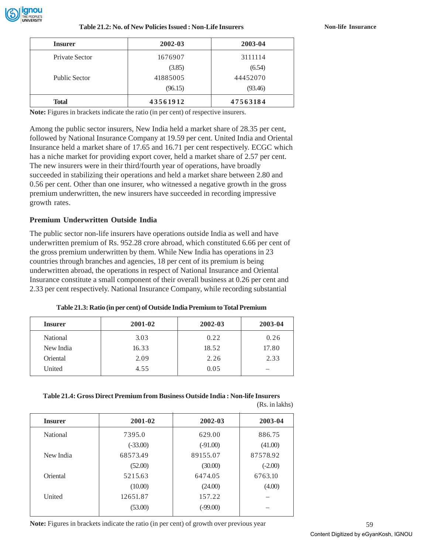

| <b>Insurer</b>       | 2002-03  | 2003-04  |
|----------------------|----------|----------|
| Private Sector       | 1676907  | 3111114  |
|                      | (3.85)   | (6.54)   |
| <b>Public Sector</b> | 41885005 | 44452070 |
|                      | (96.15)  | (93.46)  |
| <b>Total</b>         | 43561912 | 47563184 |

**Note:** Figures in brackets indicate the ratio (in per cent) of respective insurers.

Among the public sector insurers, New India held a market share of 28.35 per cent, followed by National Insurance Company at 19.59 per cent. United India and Oriental Insurance held a market share of 17.65 and 16.71 per cent respectively. ECGC which has a niche market for providing export cover, held a market share of 2.57 per cent. The new insurers were in their third/fourth year of operations, have broadly succeeded in stabilizing their operations and held a market share between 2.80 and 0.56 per cent. Other than one insurer, who witnessed a negative growth in the gross premium underwritten, the new insurers have succeeded in recording impressive growth rates.

#### **Premium Underwritten Outside India**

The public sector non-life insurers have operations outside India as well and have underwritten premium of Rs. 952.28 crore abroad, which constituted 6.66 per cent of the gross premium underwritten by them. While New India has operations in 23 countries through branches and agencies, 18 per cent of its premium is being underwritten abroad, the operations in respect of National Insurance and Oriental Insurance constitute a small component of their overall business at 0.26 per cent and 2.33 per cent respectively. National Insurance Company, while recording substantial

| Table 21.3: Ratio (in per cent) of Outside India Premium to Total Premium |  |  |  |  |  |
|---------------------------------------------------------------------------|--|--|--|--|--|
|---------------------------------------------------------------------------|--|--|--|--|--|

| <b>Insurer</b> | 2001-02 | 2002-03 | 2003-04 |
|----------------|---------|---------|---------|
| National       | 3.03    | 0.22    | 0.26    |
| New India      | 16.33   | 18.52   | 17.80   |
| Oriental       | 2.09    | 2.26    | 2.33    |
| United         | 4.55    | 0.05    |         |

#### **Table 21.4: Gross Direct Premium from Business Outside India : Non-life Insurers**

| <b>Insurer</b> | 2001-02    | 2002-03    | 2003-04   |
|----------------|------------|------------|-----------|
| National       | 7395.0     | 629.00     | 886.75    |
|                | $(-33.00)$ | $(-91.00)$ | (41.00)   |
| New India      | 68573.49   | 89155.07   | 87578.92  |
|                | (52.00)    | (30.00)    | $(-2.00)$ |
| Oriental       | 5215.63    | 6474.05    | 6763.10   |
|                | (10.00)    | (24.00)    | (4.00)    |
| United         | 12651.87   | 157.22     |           |
|                | (53.00)    | $(-99.00)$ |           |
|                |            |            |           |

**Note:** Figures in brackets indicate the ratio (in per cent) of growth over previous year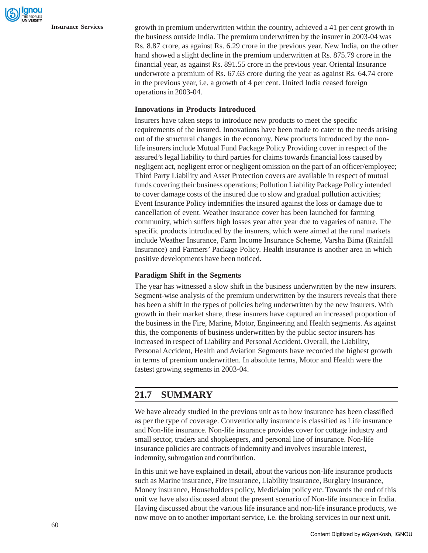**Insurance Services** growth in premium underwritten within the country, achieved a 41 per cent growth in the business outside India. The premium underwritten by the insurer in 2003-04 was Rs. 8.87 crore, as against Rs. 6.29 crore in the previous year. New India, on the other hand showed a slight decline in the premium underwritten at Rs. 875.79 crore in the financial year, as against Rs. 891.55 crore in the previous year. Oriental Insurance underwrote a premium of Rs. 67.63 crore during the year as against Rs. 64.74 crore in the previous year, i.e. a growth of 4 per cent. United India ceased foreign operations in 2003-04.

#### **Innovations in Products Introduced**

Insurers have taken steps to introduce new products to meet the specific requirements of the insured. Innovations have been made to cater to the needs arising out of the structural changes in the economy. New products introduced by the nonlife insurers include Mutual Fund Package Policy Providing cover in respect of the assured's legal liability to third parties for claims towards financial loss caused by negligent act, negligent error or negligent omission on the part of an officer/employee; Third Party Liability and Asset Protection covers are available in respect of mutual funds covering their business operations; Pollution Liability Package Policy intended to cover damage costs of the insured due to slow and gradual pollution activities; Event Insurance Policy indemnifies the insured against the loss or damage due to cancellation of event. Weather insurance cover has been launched for farming community, which suffers high losses year after year due to vagaries of nature. The specific products introduced by the insurers, which were aimed at the rural markets include Weather Insurance, Farm Income Insurance Scheme, Varsha Bima (Rainfall Insurance) and Farmers' Package Policy. Health insurance is another area in which positive developments have been noticed.

#### **Paradigm Shift in the Segments**

The year has witnessed a slow shift in the business underwritten by the new insurers. Segment-wise analysis of the premium underwritten by the insurers reveals that there has been a shift in the types of policies being underwritten by the new insurers. With growth in their market share, these insurers have captured an increased proportion of the business in the Fire, Marine, Motor, Engineering and Health segments. As against this, the components of business underwritten by the public sector insurers has increased in respect of Liability and Personal Accident. Overall, the Liability, Personal Accident, Health and Aviation Segments have recorded the highest growth in terms of premium underwritten. In absolute terms, Motor and Health were the fastest growing segments in 2003-04.

## **21.7 SUMMARY**

We have already studied in the previous unit as to how insurance has been classified as per the type of coverage. Conventionally insurance is classified as Life insurance and Non-life insurance. Non-life insurance provides cover for cottage industry and small sector, traders and shopkeepers, and personal line of insurance. Non-life insurance policies are contracts of indemnity and involves insurable interest, indemnity, subrogation and contribution.

In this unit we have explained in detail, about the various non-life insurance products such as Marine insurance, Fire insurance, Liability insurance, Burglary insurance, Money insurance, Householders policy, Mediclaim policy etc. Towards the end of this unit we have also discussed about the present scenario of Non-life insurance in India. Having discussed about the various life insurance and non-life insurance products, we now move on to another important service, i.e. the broking services in our next unit.